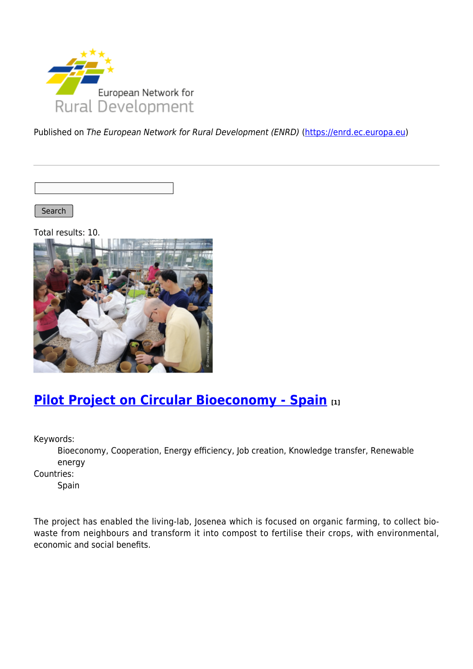

Published on The European Network for Rural Development (ENRD) [\(https://enrd.ec.europa.eu](https://enrd.ec.europa.eu))

Search |

Total results: 10.



### **[Pilot Project on Circular Bioeconomy - Spain](https://enrd.ec.europa.eu/projects-practice/re-thinking-management-organic-waste_en) [1]**

Keywords:

Bioeconomy, Cooperation, Energy efficiency, Job creation, Knowledge transfer, Renewable energy

Countries:

Spain

The project has enabled the living-lab, Josenea which is focused on organic farming, to collect biowaste from neighbours and transform it into compost to fertilise their crops, with environmental, economic and social benefits.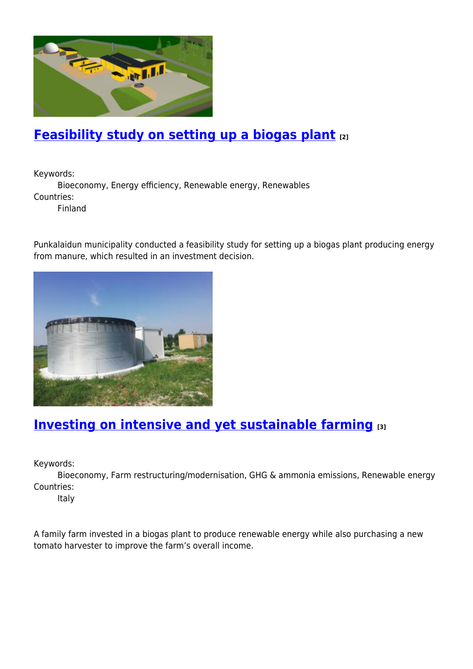

# **[Feasibility study on setting up a biogas plant](https://enrd.ec.europa.eu/projects-practice/feasibility-study-setting-biogas-plant_en) [2]**

Keywords:

Bioeconomy, Energy efficiency, Renewable energy, Renewables Countries:

Finland

Punkalaidun municipality conducted a feasibility study for setting up a biogas plant producing energy from manure, which resulted in an investment decision.



### **[Investing on intensive and yet sustainable farming](https://enrd.ec.europa.eu/projects-practice/investing-intensive-and-yet-sustainable-farming_en) [3]**

Keywords:

Bioeconomy, Farm restructuring/modernisation, GHG & ammonia emissions, Renewable energy Countries:

Italy

A family farm invested in a biogas plant to produce renewable energy while also purchasing a new tomato harvester to improve the farm's overall income.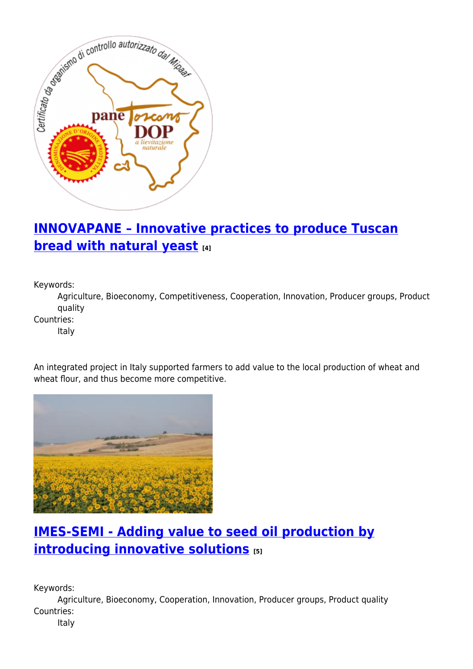

# **[INNOVAPANE – Innovative practices to produce Tuscan](https://enrd.ec.europa.eu/projects-practice/innovapane-innovative-practices-produce-tuscan-bread-natural-yeast_en) [bread with natural yeast](https://enrd.ec.europa.eu/projects-practice/innovapane-innovative-practices-produce-tuscan-bread-natural-yeast_en) [4]**

Keywords:

Agriculture, Bioeconomy, Competitiveness, Cooperation, Innovation, Producer groups, Product quality

Countries:

Italy

An integrated project in Italy supported farmers to add value to the local production of wheat and wheat flour, and thus become more competitive.



# **[IMES-SEMI - Adding value to seed oil production by](https://enrd.ec.europa.eu/projects-practice/imes-semi-adding-value-seed-oil-production-introducing-innovative-solutions_en) [introducing innovative solutions](https://enrd.ec.europa.eu/projects-practice/imes-semi-adding-value-seed-oil-production-introducing-innovative-solutions_en) [5]**

Keywords:

Agriculture, Bioeconomy, Cooperation, Innovation, Producer groups, Product quality Countries:

Italy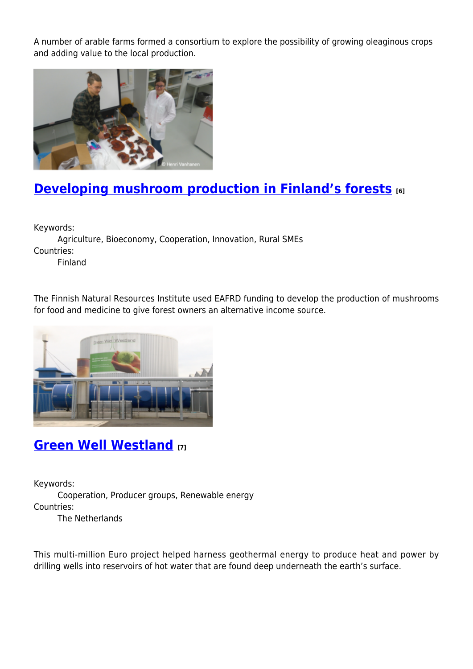A number of arable farms formed a consortium to explore the possibility of growing oleaginous crops and adding value to the local production.



# **[Developing mushroom production in Finland's forests](https://enrd.ec.europa.eu/projects-practice/developing-mushroom-production-finlands-forests_en) [6]**

Keywords:

Agriculture, Bioeconomy, Cooperation, Innovation, Rural SMEs Countries: Finland

The Finnish Natural Resources Institute used EAFRD funding to develop the production of mushrooms for food and medicine to give forest owners an alternative income source.



### **[Green Well Westland](https://enrd.ec.europa.eu/projects-practice/green-well-westland_en) [7]**

Keywords: Cooperation, Producer groups, Renewable energy Countries:

The Netherlands

This multi-million Euro project helped harness geothermal energy to produce heat and power by drilling wells into reservoirs of hot water that are found deep underneath the earth's surface.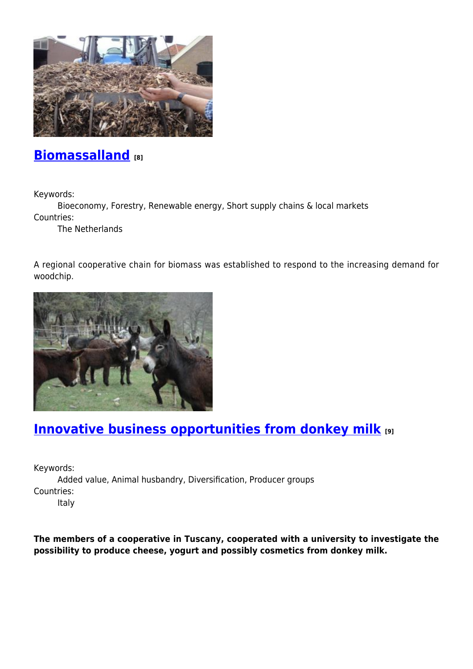

#### **[Biomassalland](https://enrd.ec.europa.eu/projects-practice/biomassalland_en) [8]**

Keywords:

Bioeconomy, Forestry, Renewable energy, Short supply chains & local markets Countries:

The Netherlands

A regional cooperative chain for biomass was established to respond to the increasing demand for woodchip.



### **[Innovative business opportunities from donkey milk](https://enrd.ec.europa.eu/projects-practice/innovative-business-opportunities-donkey-milk_en) [9]**

Keywords: Added value, Animal husbandry, Diversification, Producer groups Countries:

Italy

**The members of a cooperative in Tuscany, cooperated with a university to investigate the possibility to produce cheese, yogurt and possibly cosmetics from donkey milk.**